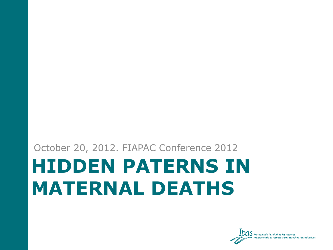#### **HIDDEN PATERNS IN MATERNAL DEATHS** October 20, 2012. FIAPAC Conference 2012

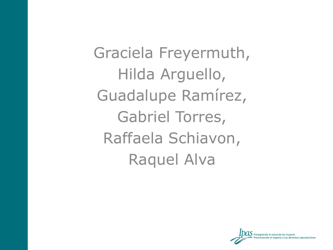Graciela Freyermuth, Hilda Arguello, Guadalupe Ramírez, Gabriel Torres, Raffaela Schiavon, Raquel Alva

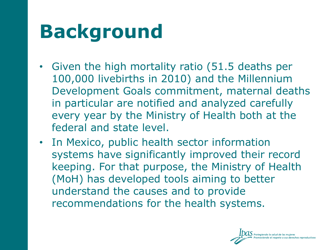## **Background**

- Given the high mortality ratio (51.5 deaths per 100,000 livebirths in 2010) and the Millennium Development Goals commitment, maternal deaths in particular are notified and analyzed carefully every year by the Ministry of Health both at the federal and state level.
- In Mexico, public health sector information systems have significantly improved their record keeping. For that purpose, the Ministry of Health (MoH) has developed tools aiming to better understand the causes and to provide recommendations for the health systems.

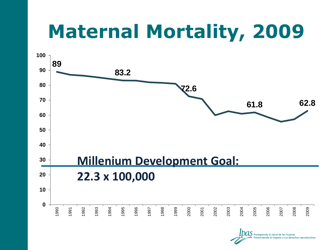## **Maternal Mortality, 2009**



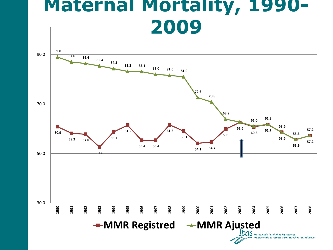#### **Maternal Mortality, 1990- 2009**

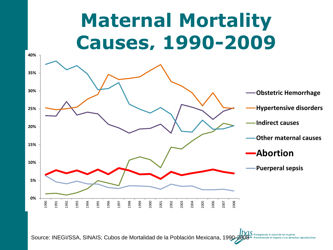# **Maternal Mortality Causes, 1990-2009**



Source: INEGI/SSA, SINAIS; Cubos de Mortalidad de la Población Mexicana, 1990-2008 *Protegiendo la salud de*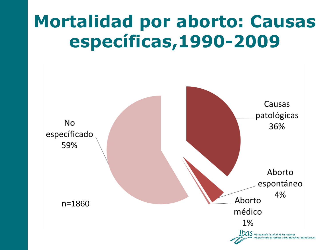#### **Mortalidad por aborto: Causas específicas,1990-2009**

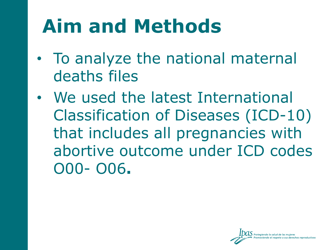# **Aim and Methods**

- To analyze the national maternal deaths files
- We used the latest International Classification of Diseases (ICD-10) that includes all pregnancies with abortive outcome under ICD codes O00- O06**.**

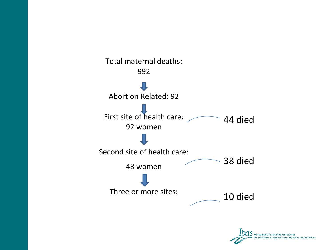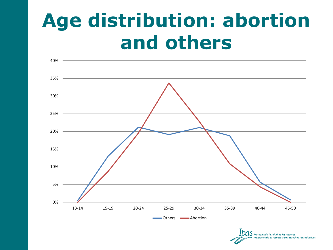## **Age distribution: abortion and others**



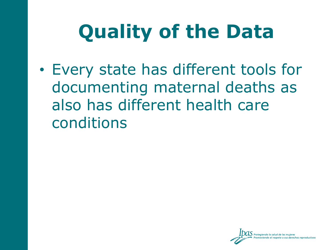# **Quality of the Data**

• Every state has different tools for documenting maternal deaths as also has different health care conditions

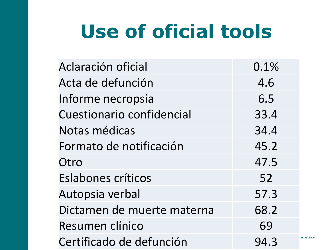# **Use of oficial tools**

| Aclaración oficial         | 0.1% |               |
|----------------------------|------|---------------|
| Acta de defunción          | 4.6  |               |
| Informe necropsia          | 6.5  |               |
| Cuestionario confidencial  | 33.4 |               |
| Notas médicas              | 34.4 |               |
| Formato de notificación    | 45.2 |               |
| Otro                       | 47.5 |               |
| <b>Eslabones críticos</b>  | 52   |               |
| Autopsia verbal            | 57.3 |               |
| Dictamen de muerte materna | 68.2 |               |
| Resumen clínico            | 69   |               |
| Certificado de defunción   | 94.3 | reproductivos |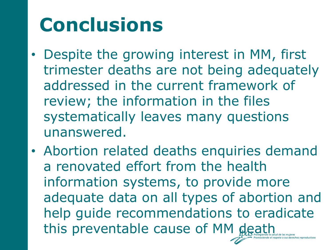# **Conclusions**

- Despite the growing interest in MM, first trimester deaths are not being adequately addressed in the current framework of review; the information in the files systematically leaves many questions unanswered.
- Abortion related deaths enquiries demand a renovated effort from the health information systems, to provide more adequate data on all types of abortion and help guide recommendations to eradicate this preventable cause of MM death